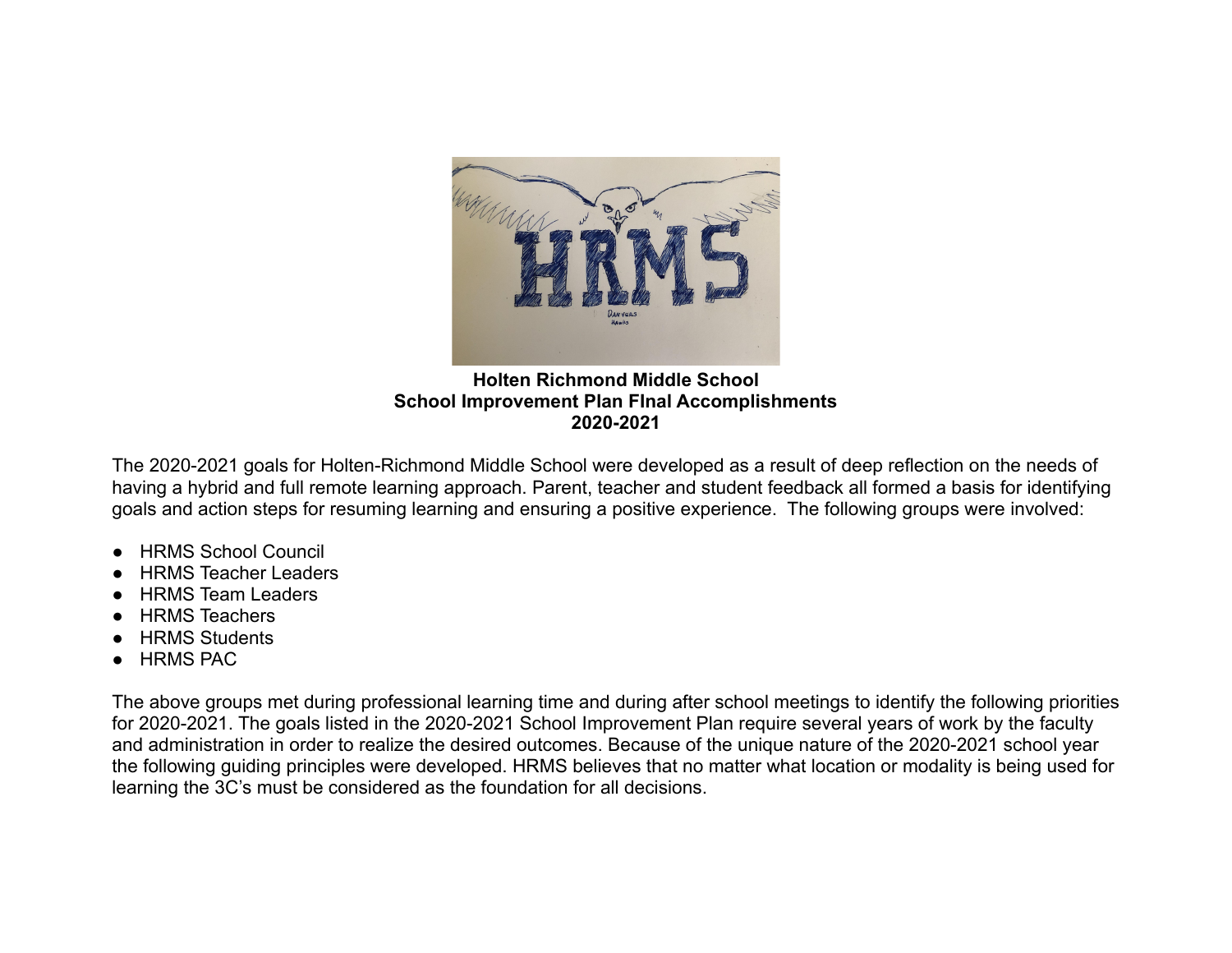

**Holten Richmond Middle School School Improvement Plan FInal Accomplishments 2020-2021**

The 2020-2021 goals for Holten-Richmond Middle School were developed as a result of deep reflection on the needs of having a hybrid and full remote learning approach. Parent, teacher and student feedback all formed a basis for identifying goals and action steps for resuming learning and ensuring a positive experience. The following groups were involved:

- HRMS School Council
- **HRMS Teacher Leaders**
- HRMS Team Leaders
- HRMS Teachers
- **HRMS Students**
- HRMS PAC

The above groups met during professional learning time and during after school meetings to identify the following priorities for 2020-2021. The goals listed in the 2020-2021 School Improvement Plan require several years of work by the faculty and administration in order to realize the desired outcomes. Because of the unique nature of the 2020-2021 school year the following guiding principles were developed. HRMS believes that no matter what location or modality is being used for learning the 3C's must be considered as the foundation for all decisions.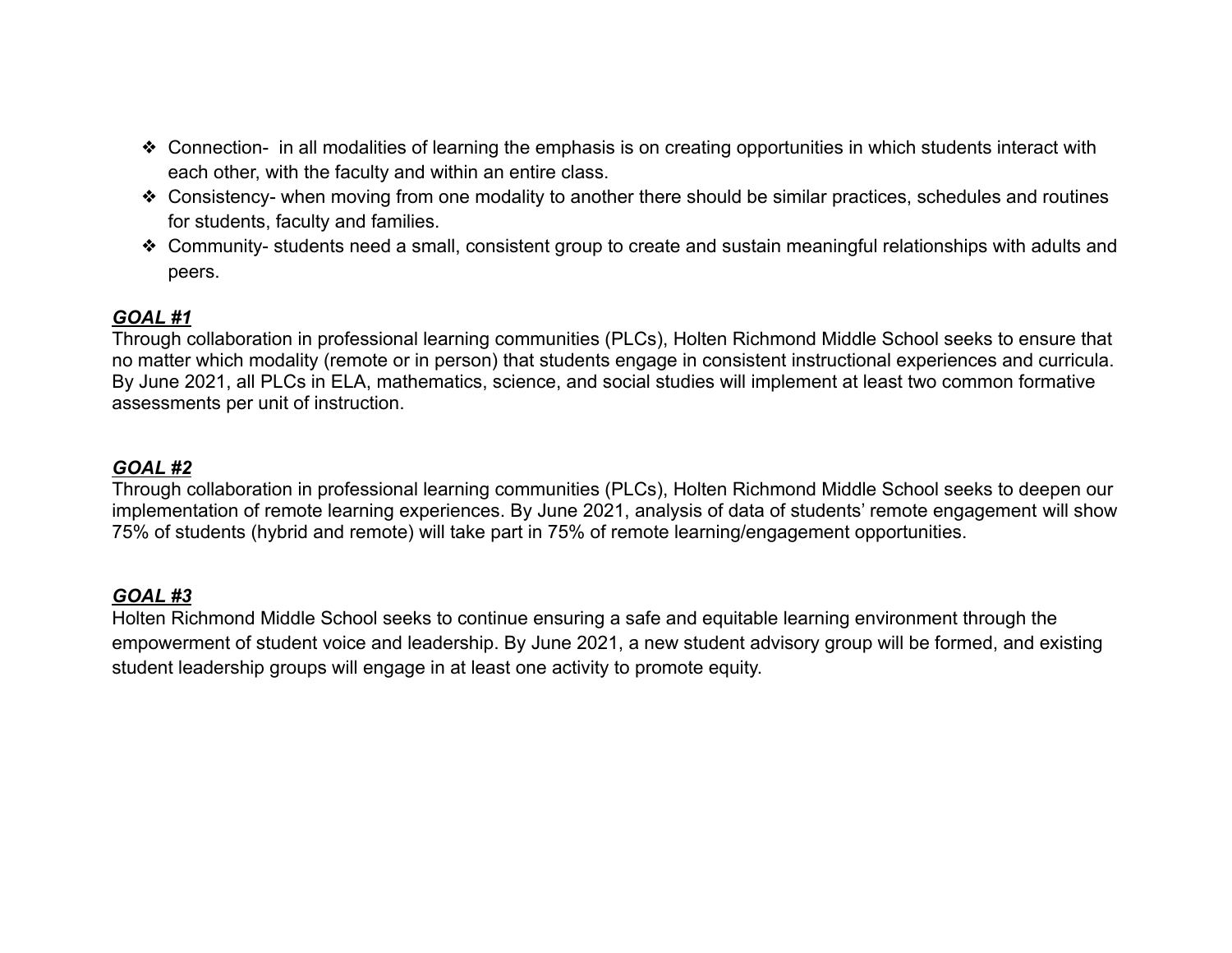- ❖ Connection- in all modalities of learning the emphasis is on creating opportunities in which students interact with each other, with the faculty and within an entire class.
- ❖ Consistency- when moving from one modality to another there should be similar practices, schedules and routines for students, faculty and families.
- ❖ Community- students need a small, consistent group to create and sustain meaningful relationships with adults and peers.

## *GOAL #1*

Through collaboration in professional learning communities (PLCs), Holten Richmond Middle School seeks to ensure that no matter which modality (remote or in person) that students engage in consistent instructional experiences and curricula. By June 2021, all PLCs in ELA, mathematics, science, and social studies will implement at least two common formative assessments per unit of instruction.

## *GOAL #2*

Through collaboration in professional learning communities (PLCs), Holten Richmond Middle School seeks to deepen our implementation of remote learning experiences. By June 2021, analysis of data of students' remote engagement will show 75% of students (hybrid and remote) will take part in 75% of remote learning/engagement opportunities.

## *GOAL #3*

Holten Richmond Middle School seeks to continue ensuring a safe and equitable learning environment through the empowerment of student voice and leadership. By June 2021, a new student advisory group will be formed, and existing student leadership groups will engage in at least one activity to promote equity.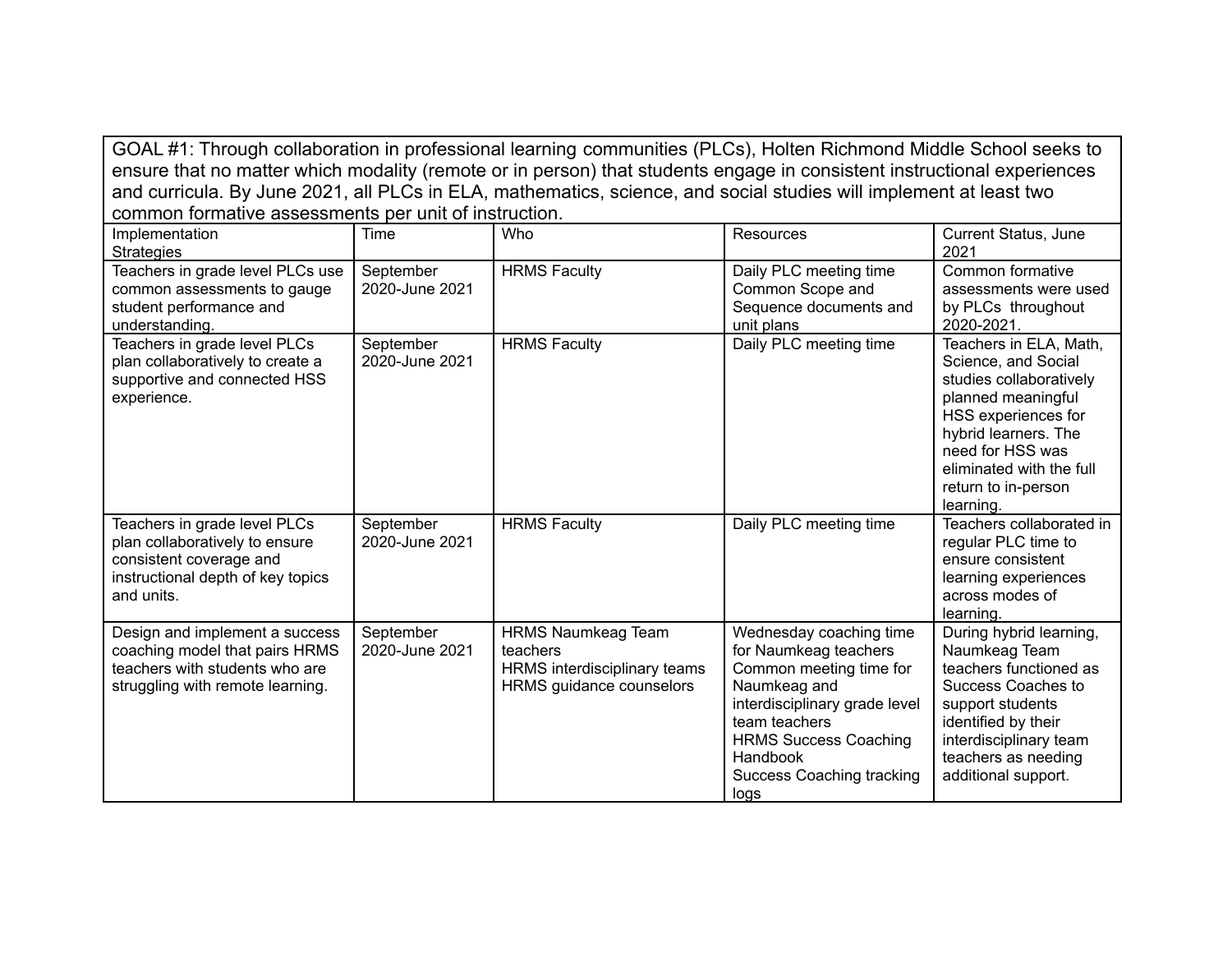GOAL #1: Through collaboration in professional learning communities (PLCs), Holten Richmond Middle School seeks to ensure that no matter which modality (remote or in person) that students engage in consistent instructional experiences and curricula. By June 2021, all PLCs in ELA, mathematics, science, and social studies will implement at least two common formative assessments per unit of instruction.

| Implementation<br><b>Strategies</b>                                                                                                          | Time                        | Who                                                                                               | Resources                                                                                                                                                                                                                             | Current Status, June<br>2021                                                                                                                                                                                                      |
|----------------------------------------------------------------------------------------------------------------------------------------------|-----------------------------|---------------------------------------------------------------------------------------------------|---------------------------------------------------------------------------------------------------------------------------------------------------------------------------------------------------------------------------------------|-----------------------------------------------------------------------------------------------------------------------------------------------------------------------------------------------------------------------------------|
| Teachers in grade level PLCs use<br>common assessments to gauge<br>student performance and<br>understanding.                                 | September<br>2020-June 2021 | <b>HRMS Faculty</b>                                                                               | Daily PLC meeting time<br>Common Scope and<br>Sequence documents and<br>unit plans                                                                                                                                                    | Common formative<br>assessments were used<br>by PLCs throughout<br>2020-2021.                                                                                                                                                     |
| Teachers in grade level PLCs<br>plan collaboratively to create a<br>supportive and connected HSS<br>experience.                              | September<br>2020-June 2021 | <b>HRMS Faculty</b>                                                                               | Daily PLC meeting time                                                                                                                                                                                                                | Teachers in ELA, Math,<br>Science, and Social<br>studies collaboratively<br>planned meaningful<br>HSS experiences for<br>hybrid learners. The<br>need for HSS was<br>eliminated with the full<br>return to in-person<br>learning. |
| Teachers in grade level PLCs<br>plan collaboratively to ensure<br>consistent coverage and<br>instructional depth of key topics<br>and units. | September<br>2020-June 2021 | <b>HRMS Faculty</b>                                                                               | Daily PLC meeting time                                                                                                                                                                                                                | Teachers collaborated in<br>regular PLC time to<br>ensure consistent<br>learning experiences<br>across modes of<br>learning.                                                                                                      |
| Design and implement a success<br>coaching model that pairs HRMS<br>teachers with students who are<br>struggling with remote learning.       | September<br>2020-June 2021 | <b>HRMS Naumkeag Team</b><br>teachers<br>HRMS interdisciplinary teams<br>HRMS guidance counselors | Wednesday coaching time<br>for Naumkeag teachers<br>Common meeting time for<br>Naumkeag and<br>interdisciplinary grade level<br>team teachers<br><b>HRMS Success Coaching</b><br>Handbook<br><b>Success Coaching tracking</b><br>logs | During hybrid learning,<br>Naumkeag Team<br>teachers functioned as<br>Success Coaches to<br>support students<br>identified by their<br>interdisciplinary team<br>teachers as needing<br>additional support.                       |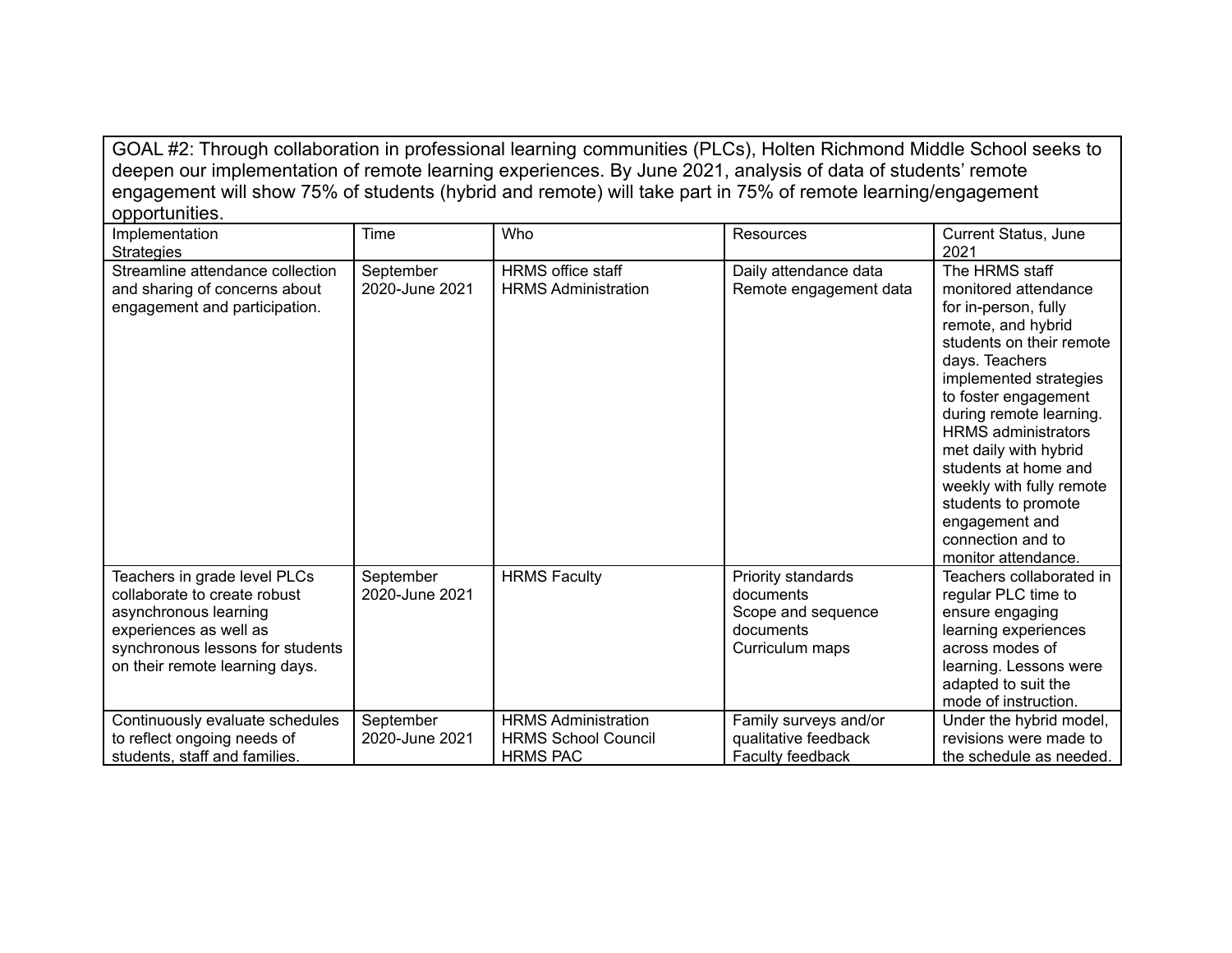| GOAL #2: Through collaboration in professional learning communities (PLCs), Holten Richmond Middle School seeks to<br>deepen our implementation of remote learning experiences. By June 2021, analysis of data of students' remote<br>engagement will show 75% of students (hybrid and remote) will take part in 75% of remote learning/engagement<br>opportunities. |                             |                                                                             |                                                                                       |                                                                                                                                                                                                                                                                                                                                                                                                                 |  |  |  |
|----------------------------------------------------------------------------------------------------------------------------------------------------------------------------------------------------------------------------------------------------------------------------------------------------------------------------------------------------------------------|-----------------------------|-----------------------------------------------------------------------------|---------------------------------------------------------------------------------------|-----------------------------------------------------------------------------------------------------------------------------------------------------------------------------------------------------------------------------------------------------------------------------------------------------------------------------------------------------------------------------------------------------------------|--|--|--|
| Implementation<br><b>Strategies</b>                                                                                                                                                                                                                                                                                                                                  | Time                        | Who                                                                         | Resources                                                                             | <b>Current Status, June</b><br>2021                                                                                                                                                                                                                                                                                                                                                                             |  |  |  |
| Streamline attendance collection<br>and sharing of concerns about<br>engagement and participation.                                                                                                                                                                                                                                                                   | September<br>2020-June 2021 | <b>HRMS</b> office staff<br><b>HRMS Administration</b>                      | Daily attendance data<br>Remote engagement data                                       | The HRMS staff<br>monitored attendance<br>for in-person, fully<br>remote, and hybrid<br>students on their remote<br>days. Teachers<br>implemented strategies<br>to foster engagement<br>during remote learning.<br><b>HRMS</b> administrators<br>met daily with hybrid<br>students at home and<br>weekly with fully remote<br>students to promote<br>engagement and<br>connection and to<br>monitor attendance. |  |  |  |
| Teachers in grade level PLCs<br>collaborate to create robust<br>asynchronous learning<br>experiences as well as<br>synchronous lessons for students<br>on their remote learning days.                                                                                                                                                                                | September<br>2020-June 2021 | <b>HRMS Faculty</b>                                                         | Priority standards<br>documents<br>Scope and sequence<br>documents<br>Curriculum maps | Teachers collaborated in<br>regular PLC time to<br>ensure engaging<br>learning experiences<br>across modes of<br>learning. Lessons were<br>adapted to suit the<br>mode of instruction.                                                                                                                                                                                                                          |  |  |  |
| Continuously evaluate schedules<br>to reflect ongoing needs of<br>students, staff and families.                                                                                                                                                                                                                                                                      | September<br>2020-June 2021 | <b>HRMS Administration</b><br><b>HRMS School Council</b><br><b>HRMS PAC</b> | Family surveys and/or<br>qualitative feedback<br>Faculty feedback                     | Under the hybrid model,<br>revisions were made to<br>the schedule as needed.                                                                                                                                                                                                                                                                                                                                    |  |  |  |